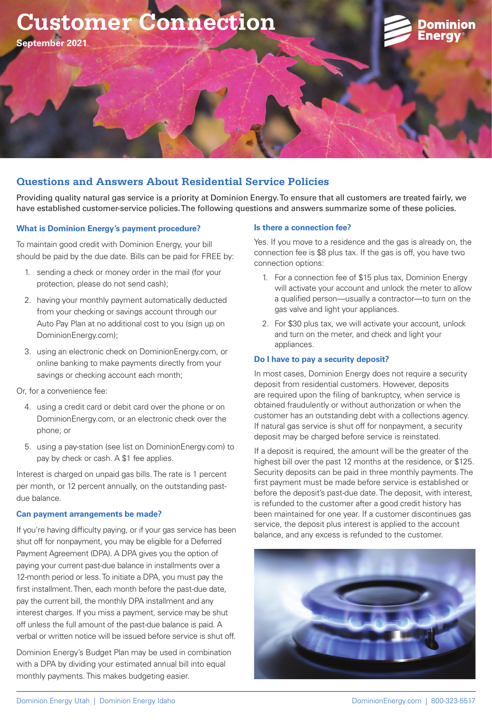



**September 2021**

# **Questions and Answers About Residential Service Policies**

Providing quality natural gas service is a priority at Dominion Energy. To ensure that all customers are treated fairly, we have established customer-service policies. The following questions and answers summarize some of these policies.

## **What is Dominion Energy's payment procedure?**

To maintain good credit with Dominion Energy, your bill should be paid by the due date. Bills can be paid for FREE by:

- 1. sending a check or money order in the mail (for your protection, please do not send cash);
- 2. having your monthly payment automatically deducted from your checking or savings account through our Auto Pay Plan at no additional cost to you (sign up on DominionEnergy.com);
- 3. using an electronic check on DominionEnergy.com, or online banking to make payments directly from your savings or checking account each month;

Or, for a convenience fee:

- 4. using a credit card or debit card over the phone or on DominionEnergy.com, or an electronic check over the phone; or
- 5. using a pay-station (see list on DominionEnergy.com) to pay by check or cash. A \$1 fee applies.

Interest is charged on unpaid gas bills. The rate is 1 percent per month, or 12 percent annually, on the outstanding pastdue balance.

## **Can payment arrangements be made?**

If you're having difficulty paying, or if your gas service has been shut off for nonpayment, you may be eligible for a Deferred Payment Agreement (DPA). A DPA gives you the option of paying your current past-due balance in installments over a 12-month period or less. To initiate a DPA, you must pay the first installment. Then, each month before the past-due date, pay the current bill, the monthly DPA installment and any interest charges. If you miss a payment, service may be shut off unless the full amount of the past-due balance is paid. A verbal or written notice will be issued before service is shut off.

Dominion Energy's Budget Plan may be used in combination with a DPA by dividing your estimated annual bill into equal monthly payments. This makes budgeting easier.

### **Is there a connection fee?**

Yes. If you move to a residence and the gas is already on, the connection fee is \$8 plus tax. If the gas is off, you have two connection options:

- 1. For a connection fee of \$15 plus tax, Dominion Energy will activate your account and unlock the meter to allow a qualified person—usually a contractor—to turn on the gas valve and light your appliances.
- 2. For \$30 plus tax, we will activate your account, unlock and turn on the meter, and check and light your appliances.

### **Do I have to pay a security deposit?**

In most cases, Dominion Energy does not require a security deposit from residential customers. However, deposits are required upon the filing of bankruptcy, when service is obtained fraudulently or without authorization or when the customer has an outstanding debt with a collections agency. If natural gas service is shut off for nonpayment, a security deposit may be charged before service is reinstated.

If a deposit is required, the amount will be the greater of the highest bill over the past 12 months at the residence, or \$125. Security deposits can be paid in three monthly payments. The first payment must be made before service is established or before the deposit's past-due date. The deposit, with interest, is refunded to the customer after a good credit history has been maintained for one year. If a customer discontinues gas service, the deposit plus interest is applied to the account balance, and any excess is refunded to the customer.